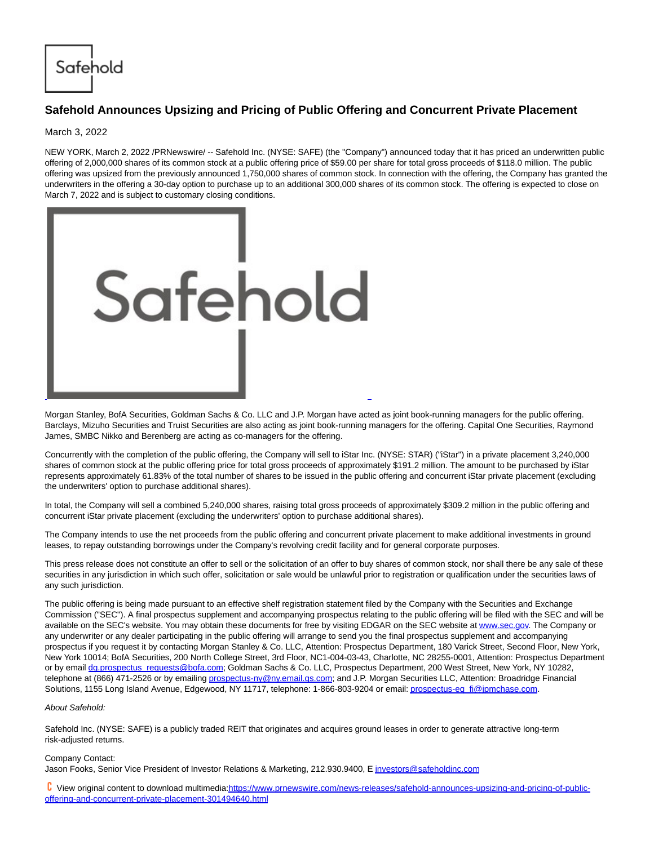Safehold

## **Safehold Announces Upsizing and Pricing of Public Offering and Concurrent Private Placement**

March 3, 2022

NEW YORK, March 2, 2022 /PRNewswire/ -- Safehold Inc. (NYSE: SAFE) (the "Company") announced today that it has priced an underwritten public offering of 2,000,000 shares of its common stock at a public offering price of \$59.00 per share for total gross proceeds of \$118.0 million. The public offering was upsized from the previously announced 1,750,000 shares of common stock. In connection with the offering, the Company has granted the underwriters in the offering a 30-day option to purchase up to an additional 300,000 shares of its common stock. The offering is expected to close on March 7, 2022 and is subject to customary closing conditions.



Morgan Stanley, BofA Securities, Goldman Sachs & Co. LLC and J.P. Morgan have acted as joint book-running managers for the public offering. Barclays, Mizuho Securities and Truist Securities are also acting as joint book-running managers for the offering. Capital One Securities, Raymond James, SMBC Nikko and Berenberg are acting as co-managers for the offering.

Concurrently with the completion of the public offering, the Company will sell to iStar Inc. (NYSE: STAR) ("iStar") in a private placement 3,240,000 shares of common stock at the public offering price for total gross proceeds of approximately \$191.2 million. The amount to be purchased by iStar represents approximately 61.83% of the total number of shares to be issued in the public offering and concurrent iStar private placement (excluding the underwriters' option to purchase additional shares).

In total, the Company will sell a combined 5,240,000 shares, raising total gross proceeds of approximately \$309.2 million in the public offering and concurrent iStar private placement (excluding the underwriters' option to purchase additional shares).

The Company intends to use the net proceeds from the public offering and concurrent private placement to make additional investments in ground leases, to repay outstanding borrowings under the Company's revolving credit facility and for general corporate purposes.

This press release does not constitute an offer to sell or the solicitation of an offer to buy shares of common stock, nor shall there be any sale of these securities in any jurisdiction in which such offer, solicitation or sale would be unlawful prior to registration or qualification under the securities laws of any such jurisdiction.

The public offering is being made pursuant to an effective shelf registration statement filed by the Company with the Securities and Exchange Commission ("SEC"). A final prospectus supplement and accompanying prospectus relating to the public offering will be filed with the SEC and will be available on the SEC's website. You may obtain these documents for free by visiting EDGAR on the SEC website at [www.sec.gov.](http://www.sec.gov/) The Company or any underwriter or any dealer participating in the public offering will arrange to send you the final prospectus supplement and accompanying prospectus if you request it by contacting Morgan Stanley & Co. LLC, Attention: Prospectus Department, 180 Varick Street, Second Floor, New York, New York 10014; BofA Securities, 200 North College Street, 3rd Floor, NC1-004-03-43, Charlotte, NC 28255-0001, Attention: Prospectus Department or by email [dg.prospectus\\_requests@bofa.com;](mailto:dg.prospectus_requests@bofa.com) Goldman Sachs & Co. LLC, Prospectus Department, 200 West Street, New York, NY 10282, telephone at (866) 471-2526 or by emailing [prospectus-ny@ny.email.gs.com;](mailto:prospectus-ny@ny.email.gs.com) and J.P. Morgan Securities LLC, Attention: Broadridge Financial Solutions, 1155 Long Island Avenue, Edgewood, NY 11717, telephone: 1-866-803-9204 or email[: prospectus-eq\\_fi@jpmchase.com.](mailto:prospectus-eq_fi@jpmchase.com)

## About Safehold:

Safehold Inc. (NYSE: SAFE) is a publicly traded REIT that originates and acquires ground leases in order to generate attractive long-term risk-adjusted returns.

## Company Contact:

Jason Fooks, Senior Vice President of Investor Relations & Marketing, 212.930.9400, [E investors@safeholdinc.com](mailto:investors@safeholdinc.com)

 View original content to download multimedia[:https://www.prnewswire.com/news-releases/safehold-announces-upsizing-and-pricing-of-public](https://www.prnewswire.com/news-releases/safehold-announces-upsizing-and-pricing-of-public-offering-and-concurrent-private-placement-301494640.html)offering-and-concurrent-private-placement-301494640.html